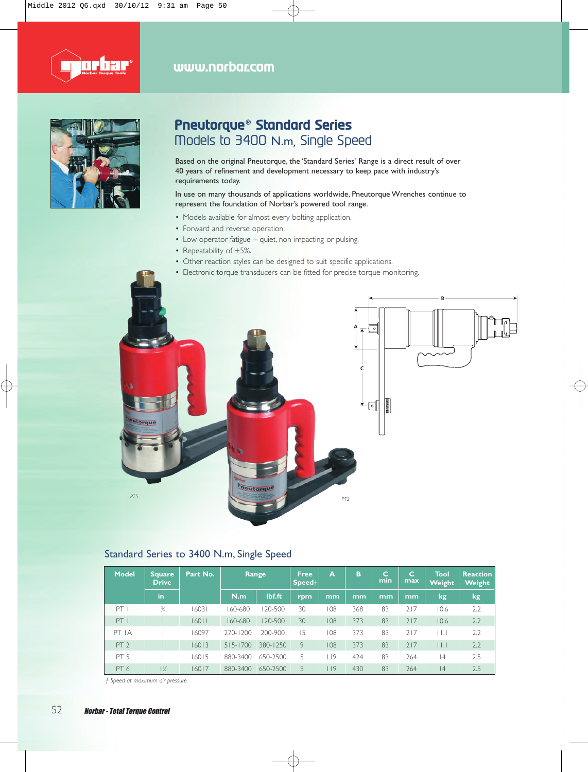



### **Pneutorque® Standard Series**  Models to 3400 N.m, Single Speed

Based on the original Pneutorque, the 'Standard Series' Range is a direct result of over 40 years of refinement and development necessary to keep pace with industry's requirements today.

In use on many thousands of applications worldwide, Pneutorque Wrenches continue to represent the foundation of Norbar's powered tool range.

- Models available for almost every bolting application.
- Forward and reverse operation.
- Low operator fatigue quiet, non impacting or pulsing.
- Repeatability of ±5%.
- Other reaction styles can be designed to suit specific applications.
- Electronic torque transducers can be fitted for precise torque monitoring.



#### Standard Series to 3400 N.m, Single Speed

| <b>Model</b>    | Square<br><b>Drive</b> | Part No. | Range       |          | <b>Free</b><br>$\mathsf{Speed}{}{+}$ | A      | в   | c<br>min | $\mathbf C$<br>max | <b>Tool</b><br>Weight     | <b>Reaction</b><br>Weight |
|-----------------|------------------------|----------|-------------|----------|--------------------------------------|--------|-----|----------|--------------------|---------------------------|---------------------------|
|                 | in                     |          | N.m         | lbf.ft   | rpm                                  | mm     | mm  | mm       | mm                 | kg                        | kg                        |
| PT I            | $\frac{3}{4}$          | 16031    | 60-680      | 120-500  | 30                                   | 108    | 368 | 83       | 717                | 10.6                      | 2.2                       |
| PT              |                        | 16011    | $160 - 680$ | 120-500  | 30                                   | 108    | 373 | 83       | 717                | 10.6                      | 2.2                       |
| PT IA           |                        | 16097    | 270-1200    | 200-900  | 15                                   | 108    | 373 | 83       | 217                | $\vert \ \vert$ . $\vert$ | 2.2                       |
| PT <sub>2</sub> |                        | 16013    | 515-1700    | 380-1250 | 9                                    | 108    | 373 | 83       | 717                | $\vert \ \vert$ . $\vert$ | 2.2                       |
| PT <sub>5</sub> |                        | 16015    | 880-3400    | 650-2500 | 5                                    | 9      | 424 | 83       | 264                | 4                         | 2.5                       |
| PT <sub>6</sub> | $1\frac{1}{2}$         | 16017    | 880-3400    | 650-2500 | 5                                    | $ $  9 | 430 | 83       | 264                | 4                         | 2.5                       |

*† Speed at maximum air pressure.*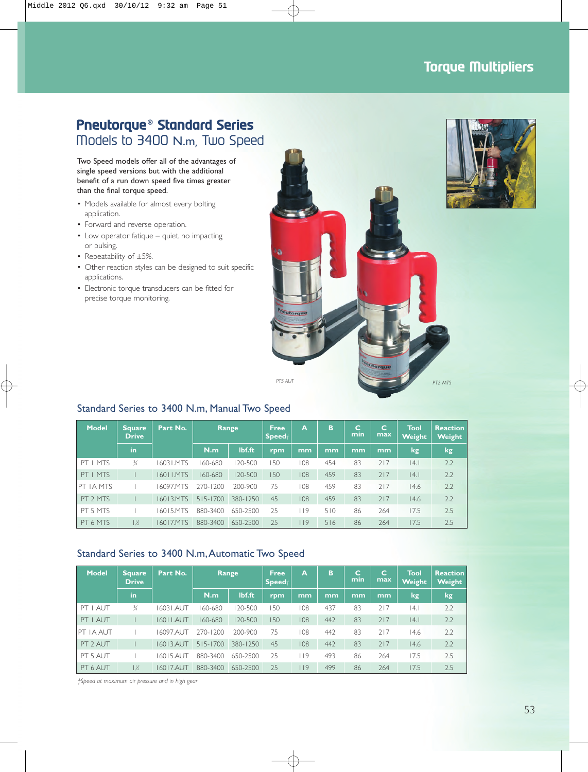### **Torque Multipliers**

# **Pneutorque® Standard Series** Models to 3400 N.m, Two Speed

Two Speed models offer all of the advantages of single speed versions but with the additional benefit of a run down speed five times greater than the final torque speed.

- Models available for almost every bolting application.
- Forward and reverse operation.
- Low operator fatique quiet, no impacting or pulsing.
- Repeatability of ±5%.
- Other reaction styles can be designed to suit specific applications.
- Electronic torque transducers can be fitted for precise torque monitoring.





| Model             | <b>Square</b><br><b>Drive</b> | Part No.  | Range        |          | <b>Free</b><br>Speed <sup>+</sup> | A   | B   | c<br>min | C<br>max | Tool<br>Weight | <b>Reaction</b><br>Weight |
|-------------------|-------------------------------|-----------|--------------|----------|-----------------------------------|-----|-----|----------|----------|----------------|---------------------------|
|                   | in                            |           | N.m          | lbf.ft   | rpm                               | mm  | mm  | mm       | mm       | kg             | lkg.                      |
| PT I MTS          | $\frac{3}{4}$                 | 1603 LMTS | 160-680      | 120-500  | 50                                | 108 | 454 | 83       | 717      | 4.             | 2.2                       |
| $PT$   MTS        |                               | 16011.MTS | 160-680      | 120-500  | 150                               | 108 | 459 | 83       | 717      | 4.             | 2.2                       |
| <b>IPT IA MTS</b> |                               | 16097.MTS | 270-1200     | 200-900  | 75                                | 108 | 459 | 83       | 717      | 14.6           | 2.2                       |
| PT 2 MTS          |                               | 16013.MTS | $515 - 1700$ | 380-1250 | 45                                | 108 | 459 | 83       | 717      | 14.6           | 2.2                       |
| PT 5 MTS          |                               | 16015 MTS | 880-3400     | 650-2500 | 25                                | 119 | 510 | 86       | 264      | 17.5           | 2.5                       |
| PT 6 MTS          | $1\frac{1}{2}$                | 16017.MTS | 880-3400     | 650-2500 | 25                                | 119 | 516 | 86       | 264      | 17.5           | 2.5                       |

#### Standard Series to 3400 N.m,Automatic Two Speed

| <b>Model</b> | Square<br><b>Drive</b> | Part No.   | Range        |          | <b>Free</b><br>$\textsf{Speed}{}{+}$ | A   | B   | c<br>min | $\mathbf C$<br>max | Tool<br><b>Weight</b> | <b>Reaction</b><br><b>Weight</b> |
|--------------|------------------------|------------|--------------|----------|--------------------------------------|-----|-----|----------|--------------------|-----------------------|----------------------------------|
|              | in                     |            | N.m          | lbf.ft   | rpm                                  | mm  | mm  | mm       | mm                 | kg                    | <b>kg</b>                        |
| PT I AUT     | $\frac{3}{4}$          | 1603 I.AUT | 60-680       | 120-500  | 150                                  | 108 | 437 | 83       | 217                | 4.                    | 2.2                              |
| PT I AUT     |                        | 16011.AUT  | 160-680      | 120-500  | 150                                  | 108 | 442 | 83       | 717                | 4.                    | 2.2                              |
| IPT IA AUT   |                        | 16097.AUT  | 270-1200     | 200-900  | 75                                   | 108 | 442 | 83       | 717                | 14.6                  | 2.2                              |
| PT 2 AUT     |                        | 16013.AUT  | $515 - 1700$ | 380-1250 | 45                                   | 108 | 442 | 83       | 717                | 14.6                  | 2.2                              |
| PT 5 AUT     |                        | 16015.AUT  | 880-3400     | 650-2500 | 25                                   | 9   | 493 | 86       | 264                | 17.5                  | 2.5                              |
| PT 6 AUT     | $1\frac{1}{2}$         | 16017.AUT  | 880-3400     | 650-2500 | 25                                   | 9   | 499 | 86       | 264                | 17.5                  | 2.5                              |

*†Speed at maximum air pressure and in high gear*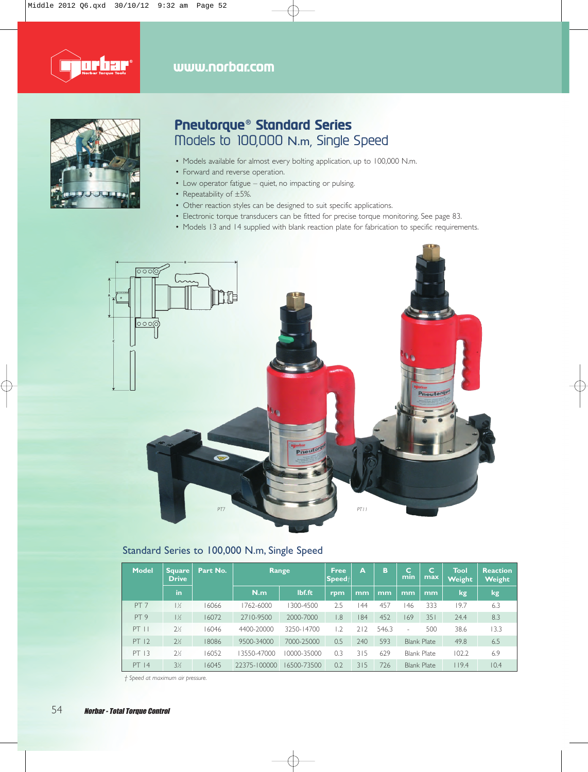



# **Pneutorque® Standard Series** Models to 100,000 N.m, Single Speed

- Models available for almost every bolting application, up to 100,000 N.m.
- Forward and reverse operation.
- Low operator fatigue quiet, no impacting or pulsing.
- Repeatability of ±5%.
- Other reaction styles can be designed to suit specific applications.
- Electronic torque transducers can be fitted for precise torque monitoring. See page 83.
- Models 13 and 14 supplied with blank reaction plate for fabrication to specific requirements.



#### Standard Series to 100,000 N.m, Single Speed

| <b>Model</b>    | Square<br><b>Drive</b> | Part No. | Range        |             | <b>Free</b><br>$\mathsf{Speed}^+$ | A   | B     | c<br>min | C<br>max           | Tool<br>Weight | <b>Reaction</b><br>Weight |
|-----------------|------------------------|----------|--------------|-------------|-----------------------------------|-----|-------|----------|--------------------|----------------|---------------------------|
|                 | in                     |          | N.m          | lbf.ft      | rpm                               | mm  | mm    | mm       | mm                 | kg             | kg                        |
| PT <sub>7</sub> | $1\%$                  | 16066    | 1762-6000    | 300-4500    | 2.5                               | 44  | 457   | 46       | 333                | 19.7           | 6.3                       |
| PT <sub>9</sub> | $1\frac{1}{2}$         | 16072    | 2710-9500    | 2000-7000   | 8.1                               | 84  | 452   | 169      | 351                | 24.4           | 8.3                       |
| $PT$ $  $       | 2 <sub>K</sub>         | 16046    | 4400-20000   | 3250-14700  | 1.2                               | 712 | 546.3 | ۰        | 500                | 38.6           | 13.3                      |
| PT 12           | 2 <sub>2</sub>         | 18086    | 9500-34000   | 7000-25000  | 0.5                               | 240 | 593   |          | <b>Blank Plate</b> | 49.8           | 6.5                       |
| PT 13           | $2\%$                  | 16052    | 3550-47000   | 0000-35000  | 0.3                               | 315 | 629   |          | <b>Blank Plate</b> | 102.2          | 6.9                       |
| PT 14           | 3½                     | 16045    | 22375-100000 | 16500-73500 | 0.2                               | 315 | 726   |          | <b>Blank Plate</b> | 119.4          | 10.4                      |

*† Speed at maximum air pressure.*